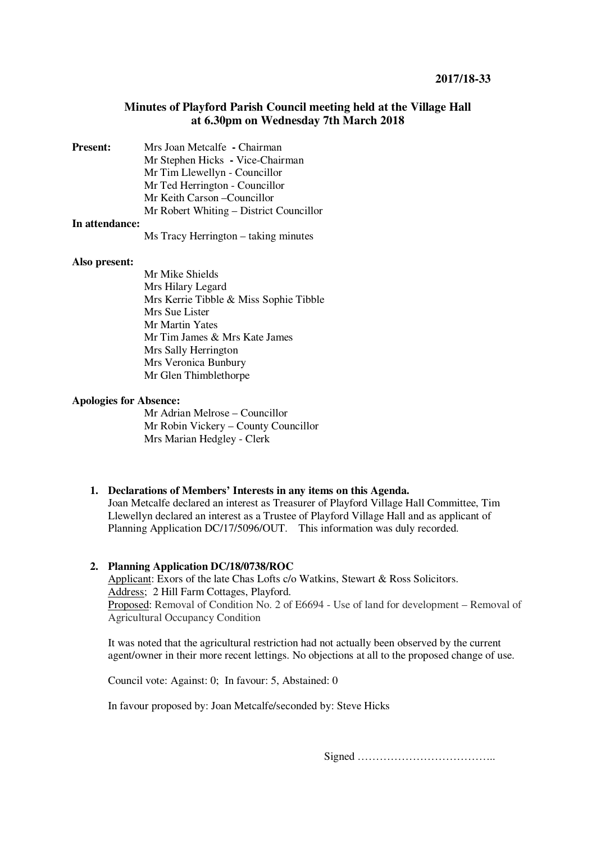# **Minutes of Playford Parish Council meeting held at the Village Hall at 6.30pm on Wednesday 7th March 2018**

| <b>Present:</b> | Mrs Joan Metcalfe - Chairman            |
|-----------------|-----------------------------------------|
|                 | Mr Stephen Hicks - Vice-Chairman        |
|                 | Mr Tim Llewellyn - Councillor           |
|                 | Mr Ted Herrington - Councillor          |
|                 | Mr Keith Carson – Councillor            |
|                 | Mr Robert Whiting – District Councillor |
|                 |                                         |

#### **In attendance:**

Ms Tracy Herrington – taking minutes

#### **Also present:**

 Mr Mike Shields Mrs Hilary Legard Mrs Kerrie Tibble & Miss Sophie Tibble Mrs Sue Lister Mr Martin Yates Mr Tim James & Mrs Kate James Mrs Sally Herrington Mrs Veronica Bunbury Mr Glen Thimblethorpe

# **Apologies for Absence:**

Mr Adrian Melrose – Councillor Mr Robin Vickery – County Councillor Mrs Marian Hedgley - Clerk

# **1. Declarations of Members' Interests in any items on this Agenda.**

Joan Metcalfe declared an interest as Treasurer of Playford Village Hall Committee, Tim Llewellyn declared an interest as a Trustee of Playford Village Hall and as applicant of Planning Application DC/17/5096/OUT. This information was duly recorded.

# **2. Planning Application DC/18/0738/ROC**

Applicant: Exors of the late Chas Lofts c/o Watkins, Stewart & Ross Solicitors. Address; 2 Hill Farm Cottages, Playford. Proposed: Removal of Condition No. 2 of E6694 - Use of land for development – Removal of Agricultural Occupancy Condition

It was noted that the agricultural restriction had not actually been observed by the current agent/owner in their more recent lettings. No objections at all to the proposed change of use.

Council vote: Against: 0; In favour: 5, Abstained: 0

In favour proposed by: Joan Metcalfe/seconded by: Steve Hicks

Signed ………………………………..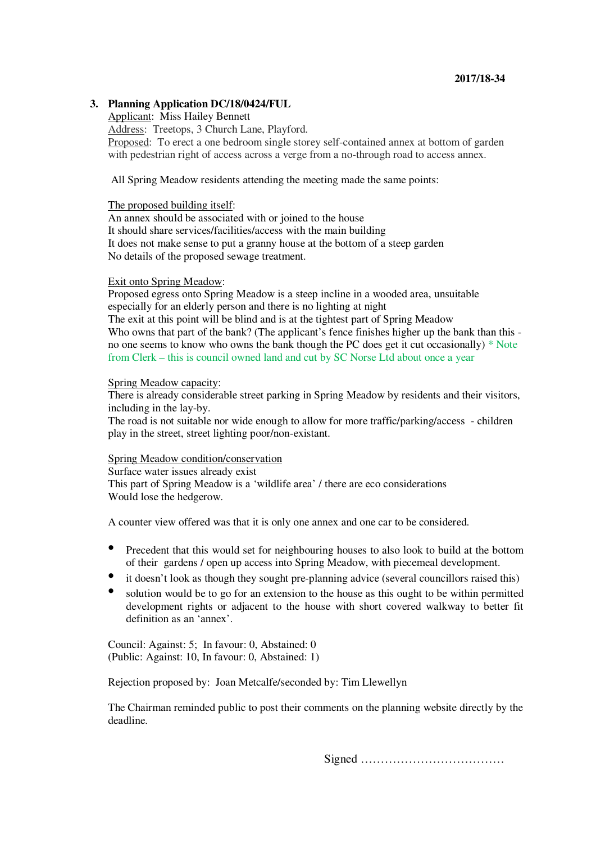## **2017/18-34**

### **3. Planning Application DC/18/0424/FUL**

Applicant: Miss Hailey Bennett Address: Treetops, 3 Church Lane, Playford. Proposed: To erect a one bedroom single storey self-contained annex at bottom of garden with pedestrian right of access across a verge from a no-through road to access annex.

All Spring Meadow residents attending the meeting made the same points:

#### The proposed building itself:

An annex should be associated with or joined to the house It should share services/facilities/access with the main building It does not make sense to put a granny house at the bottom of a steep garden No details of the proposed sewage treatment.

#### Exit onto Spring Meadow:

Proposed egress onto Spring Meadow is a steep incline in a wooded area, unsuitable especially for an elderly person and there is no lighting at night The exit at this point will be blind and is at the tightest part of Spring Meadow Who owns that part of the bank? (The applicant's fence finishes higher up the bank than this no one seems to know who owns the bank though the PC does get it cut occasionally) \* Note from Clerk – this is council owned land and cut by SC Norse Ltd about once a year

### Spring Meadow capacity:

There is already considerable street parking in Spring Meadow by residents and their visitors, including in the lay-by.

The road is not suitable nor wide enough to allow for more traffic/parking/access - children play in the street, street lighting poor/non-existant.

# Spring Meadow condition/conservation

Surface water issues already exist This part of Spring Meadow is a 'wildlife area' / there are eco considerations Would lose the hedgerow.

A counter view offered was that it is only one annex and one car to be considered.

- Precedent that this would set for neighbouring houses to also look to build at the bottom of their gardens / open up access into Spring Meadow, with piecemeal development.
- it doesn't look as though they sought pre-planning advice (several councillors raised this)
- solution would be to go for an extension to the house as this ought to be within permitted development rights or adjacent to the house with short covered walkway to better fit definition as an 'annex'.

Council: Against: 5; In favour: 0, Abstained: 0 (Public: Against: 10, In favour: 0, Abstained: 1)

Rejection proposed by: Joan Metcalfe/seconded by: Tim Llewellyn

The Chairman reminded public to post their comments on the planning website directly by the deadline.

Signed ………………………………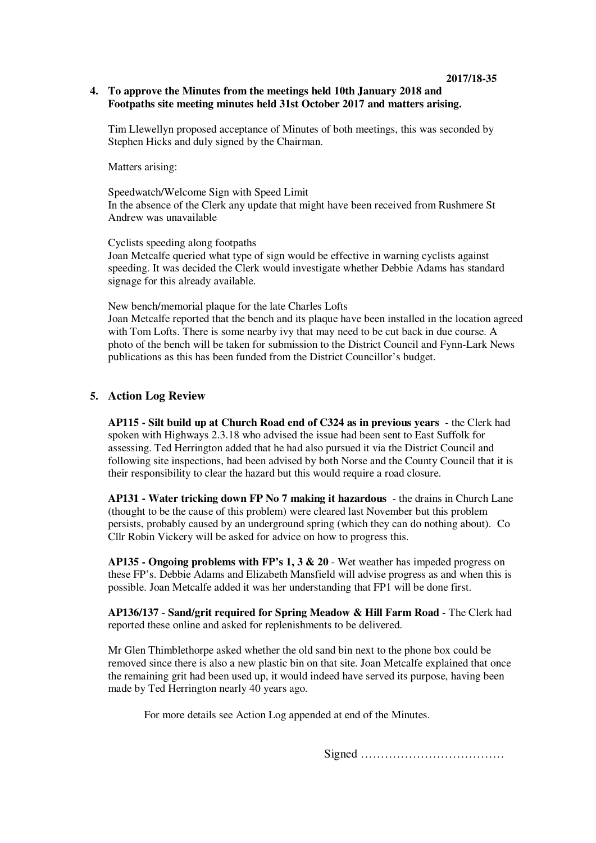## **4. To approve the Minutes from the meetings held 10th January 2018 and Footpaths site meeting minutes held 31st October 2017 and matters arising.**

Tim Llewellyn proposed acceptance of Minutes of both meetings, this was seconded by Stephen Hicks and duly signed by the Chairman.

Matters arising:

Speedwatch/Welcome Sign with Speed Limit In the absence of the Clerk any update that might have been received from Rushmere St Andrew was unavailable

Cyclists speeding along footpaths Joan Metcalfe queried what type of sign would be effective in warning cyclists against speeding. It was decided the Clerk would investigate whether Debbie Adams has standard signage for this already available.

New bench/memorial plaque for the late Charles Lofts Joan Metcalfe reported that the bench and its plaque have been installed in the location agreed with Tom Lofts. There is some nearby ivy that may need to be cut back in due course. A photo of the bench will be taken for submission to the District Council and Fynn-Lark News publications as this has been funded from the District Councillor's budget.

# **5. Action Log Review**

**AP115 - Silt build up at Church Road end of C324 as in previous years** - the Clerk had spoken with Highways 2.3.18 who advised the issue had been sent to East Suffolk for assessing. Ted Herrington added that he had also pursued it via the District Council and following site inspections, had been advised by both Norse and the County Council that it is their responsibility to clear the hazard but this would require a road closure.

**AP131 - Water tricking down FP No 7 making it hazardous** - the drains in Church Lane (thought to be the cause of this problem) were cleared last November but this problem persists, probably caused by an underground spring (which they can do nothing about). Co Cllr Robin Vickery will be asked for advice on how to progress this.

**AP135 - Ongoing problems with FP's 1, 3 & 20** - Wet weather has impeded progress on these FP's. Debbie Adams and Elizabeth Mansfield will advise progress as and when this is possible. Joan Metcalfe added it was her understanding that FP1 will be done first.

**AP136/137** - **Sand/grit required for Spring Meadow & Hill Farm Road** - The Clerk had reported these online and asked for replenishments to be delivered.

Mr Glen Thimblethorpe asked whether the old sand bin next to the phone box could be removed since there is also a new plastic bin on that site. Joan Metcalfe explained that once the remaining grit had been used up, it would indeed have served its purpose, having been made by Ted Herrington nearly 40 years ago.

For more details see Action Log appended at end of the Minutes.

Signed ………………………………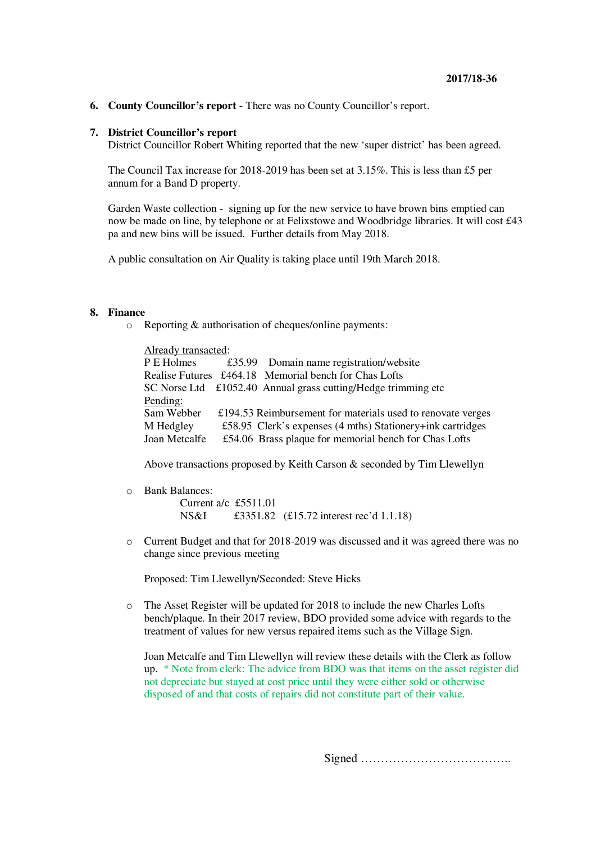**6. County Councillor's report** - There was no County Councillor's report.

#### **7. District Councillor's report**

District Councillor Robert Whiting reported that the new 'super district' has been agreed.

The Council Tax increase for 2018-2019 has been set at 3.15%. This is less than £5 per annum for a Band D property.

Garden Waste collection - signing up for the new service to have brown bins emptied can now be made on line, by telephone or at Felixstowe and Woodbridge libraries. It will cost £43 pa and new bins will be issued. Further details from May 2018.

A public consultation on Air Quality is taking place until 19th March 2018.

#### **8. Finance**

o Reporting & authorisation of cheques/online payments:

| Already transacted: |  |                                                                      |  |  |
|---------------------|--|----------------------------------------------------------------------|--|--|
| P E Holmes          |  | £35.99 Domain name registration/website                              |  |  |
|                     |  | Realise Futures £464.18 Memorial bench for Chas Lofts                |  |  |
|                     |  | SC Norse Ltd £1052.40 Annual grass cutting/Hedge trimming etc        |  |  |
| Pending:            |  |                                                                      |  |  |
| Sam Webber          |  | £194.53 Reimbursement for materials used to renovate verges          |  |  |
| M Hedgley           |  | £58.95 Clerk's expenses $(4 \text{ mths})$ Stationery+ink cartridges |  |  |
| Joan Metcalfe       |  | £54.06 Brass plaque for memorial bench for Chas Lofts                |  |  |

Above transactions proposed by Keith Carson & seconded by Tim Llewellyn

o Bank Balances:

Current a/c £5511.01 NS&I £3351.82 (£15.72 interest rec'd 1.1.18)

o Current Budget and that for 2018-2019 was discussed and it was agreed there was no change since previous meeting

Proposed: Tim Llewellyn/Seconded: Steve Hicks

o The Asset Register will be updated for 2018 to include the new Charles Lofts bench/plaque. In their 2017 review, BDO provided some advice with regards to the treatment of values for new versus repaired items such as the Village Sign.

Joan Metcalfe and Tim Llewellyn will review these details with the Clerk as follow up. \* Note from clerk: The advice from BDO was that items on the asset register did not depreciate but stayed at cost price until they were either sold or otherwise disposed of and that costs of repairs did not constitute part of their value.

Signed ………………………………..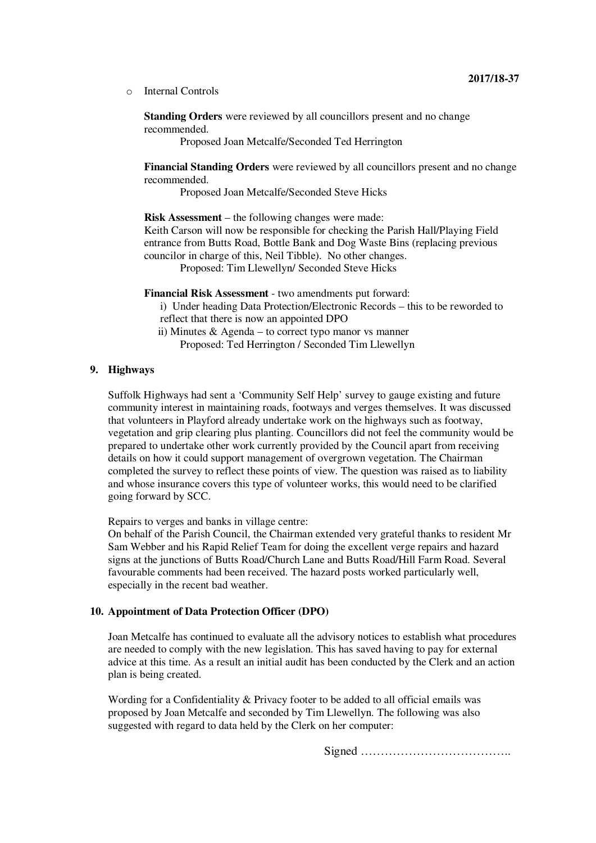o Internal Controls

**Standing Orders** were reviewed by all councillors present and no change recommended.

Proposed Joan Metcalfe/Seconded Ted Herrington

**Financial Standing Orders** were reviewed by all councillors present and no change recommended.

Proposed Joan Metcalfe/Seconded Steve Hicks

**Risk Assessment** – the following changes were made: Keith Carson will now be responsible for checking the Parish Hall/Playing Field entrance from Butts Road, Bottle Bank and Dog Waste Bins (replacing previous councilor in charge of this, Neil Tibble). No other changes.

Proposed: Tim Llewellyn/ Seconded Steve Hicks

**Financial Risk Assessment** - two amendments put forward:

i) Under heading Data Protection/Electronic Records – this to be reworded to reflect that there is now an appointed DPO

 ii) Minutes & Agenda – to correct typo manor vs manner Proposed: Ted Herrington / Seconded Tim Llewellyn

# **9. Highways**

Suffolk Highways had sent a 'Community Self Help' survey to gauge existing and future community interest in maintaining roads, footways and verges themselves. It was discussed that volunteers in Playford already undertake work on the highways such as footway, vegetation and grip clearing plus planting. Councillors did not feel the community would be prepared to undertake other work currently provided by the Council apart from receiving details on how it could support management of overgrown vegetation. The Chairman completed the survey to reflect these points of view. The question was raised as to liability and whose insurance covers this type of volunteer works, this would need to be clarified going forward by SCC.

Repairs to verges and banks in village centre:

On behalf of the Parish Council, the Chairman extended very grateful thanks to resident Mr Sam Webber and his Rapid Relief Team for doing the excellent verge repairs and hazard signs at the junctions of Butts Road/Church Lane and Butts Road/Hill Farm Road. Several favourable comments had been received. The hazard posts worked particularly well, especially in the recent bad weather.

### **10. Appointment of Data Protection Officer (DPO)**

Joan Metcalfe has continued to evaluate all the advisory notices to establish what procedures are needed to comply with the new legislation. This has saved having to pay for external advice at this time. As a result an initial audit has been conducted by the Clerk and an action plan is being created.

Wording for a Confidentiality & Privacy footer to be added to all official emails was proposed by Joan Metcalfe and seconded by Tim Llewellyn. The following was also suggested with regard to data held by the Clerk on her computer:

Signed ………………………………..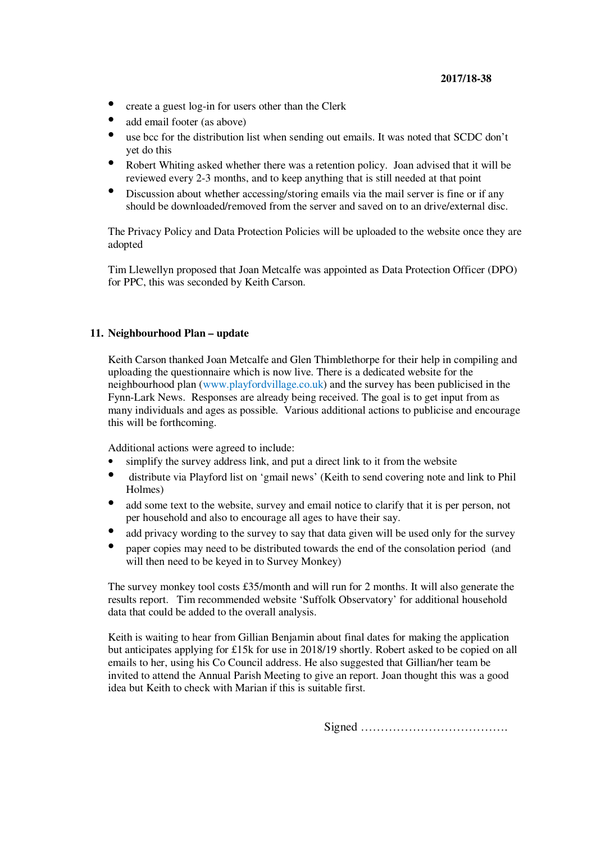# **2017/18-38**

- create a guest log-in for users other than the Clerk
- add email footer (as above)
- use bcc for the distribution list when sending out emails. It was noted that SCDC don't yet do this
- Robert Whiting asked whether there was a retention policy. Joan advised that it will be reviewed every 2-3 months, and to keep anything that is still needed at that point
- Discussion about whether accessing/storing emails via the mail server is fine or if any should be downloaded/removed from the server and saved on to an drive/external disc.

The Privacy Policy and Data Protection Policies will be uploaded to the website once they are adopted

Tim Llewellyn proposed that Joan Metcalfe was appointed as Data Protection Officer (DPO) for PPC, this was seconded by Keith Carson.

# **11. Neighbourhood Plan – update**

Keith Carson thanked Joan Metcalfe and Glen Thimblethorpe for their help in compiling and uploading the questionnaire which is now live. There is a dedicated website for the neighbourhood plan (www.playfordvillage.co.uk) and the survey has been publicised in the Fynn-Lark News. Responses are already being received. The goal is to get input from as many individuals and ages as possible. Various additional actions to publicise and encourage this will be forthcoming.

Additional actions were agreed to include:

- simplify the survey address link, and put a direct link to it from the website
- distribute via Playford list on 'gmail news' (Keith to send covering note and link to Phil Holmes)
- add some text to the website, survey and email notice to clarify that it is per person, not per household and also to encourage all ages to have their say.
- add privacy wording to the survey to say that data given will be used only for the survey
- paper copies may need to be distributed towards the end of the consolation period (and will then need to be keyed in to Survey Monkey)

The survey monkey tool costs £35/month and will run for 2 months. It will also generate the results report. Tim recommended website 'Suffolk Observatory' for additional household data that could be added to the overall analysis.

Keith is waiting to hear from Gillian Benjamin about final dates for making the application but anticipates applying for £15k for use in 2018/19 shortly. Robert asked to be copied on all emails to her, using his Co Council address. He also suggested that Gillian/her team be invited to attend the Annual Parish Meeting to give an report. Joan thought this was a good idea but Keith to check with Marian if this is suitable first.

Signed ……………………………….